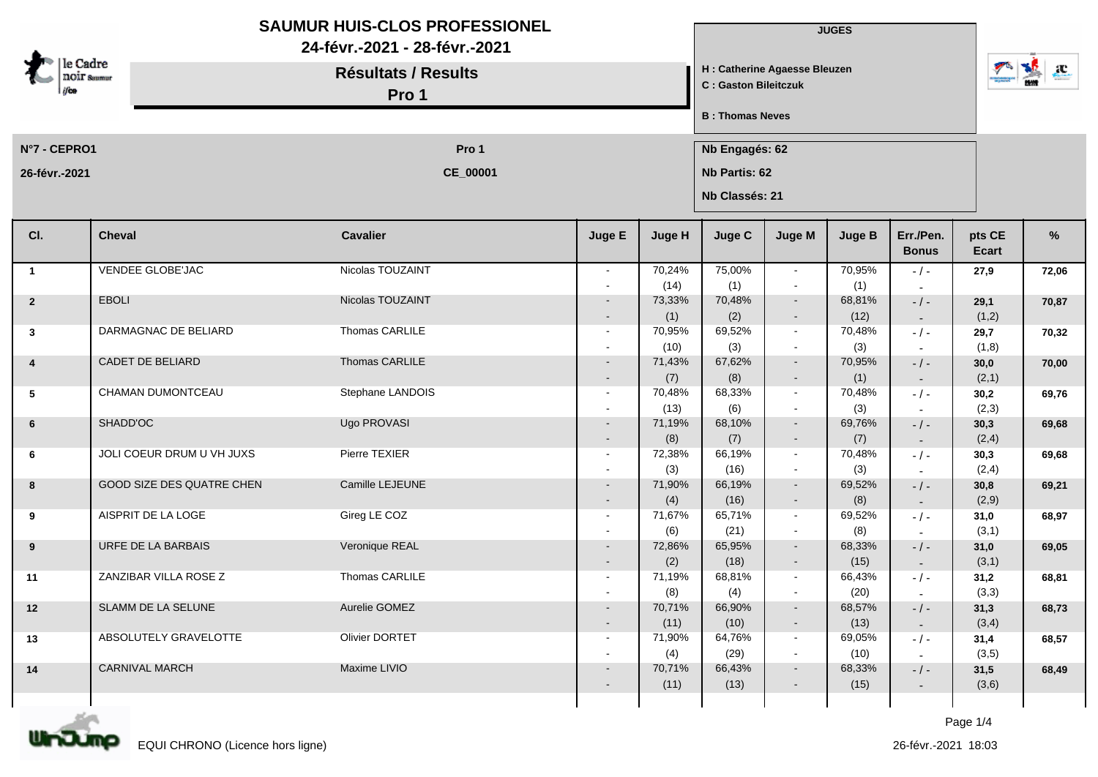| e Cadre<br><b>NOIF Saumur</b> |                           | <b>SAUMUR HUIS-CLOS PROFESSIONEL</b><br>24-févr.-2021 - 28-févr.-2021<br><b>Résultats / Results</b><br>Pro 1 |                          |                |                | <b>JUGES</b><br>H : Catherine Agaesse Bleuzen<br>C : Gaston Bileitczuk |                         |                           |                 |       |  |  |
|-------------------------------|---------------------------|--------------------------------------------------------------------------------------------------------------|--------------------------|----------------|----------------|------------------------------------------------------------------------|-------------------------|---------------------------|-----------------|-------|--|--|
|                               |                           |                                                                                                              |                          |                |                |                                                                        | <b>B</b> : Thomas Neves |                           |                 |       |  |  |
| N°7 - CEPRO1                  |                           | Pro 1                                                                                                        |                          |                |                | Nb Engagés: 62                                                         |                         |                           |                 |       |  |  |
| 26-févr.-2021                 |                           | CE_00001                                                                                                     |                          |                |                | Nb Partis: 62<br>Nb Classés: 21                                        |                         |                           |                 |       |  |  |
| CI.                           | <b>Cheval</b>             | <b>Cavalier</b>                                                                                              | Juge E                   | Juge H         | Juge C         | Juge M                                                                 | <b>Juge B</b>           | Err./Pen.<br><b>Bonus</b> | pts CE<br>Ecart | %     |  |  |
| $\overline{1}$                | <b>VENDEE GLOBE'JAC</b>   | Nicolas TOUZAINT                                                                                             | $\sim$                   | 70,24%         | 75,00%         | $\sim$                                                                 | 70,95%                  | $-/-$                     | 27,9            | 72,06 |  |  |
| $\overline{2}$                | <b>EBOLI</b>              | Nicolas TOUZAINT                                                                                             |                          | (14)<br>73,33% | (1)<br>70,48%  | $\blacksquare$<br>$\sim$                                               | (1)<br>68,81%           |                           |                 |       |  |  |
|                               |                           |                                                                                                              |                          | (1)            | (2)            | $\sim$                                                                 | (12)                    | $-/-$<br>$\sim$           | 29,1<br>(1,2)   | 70,87 |  |  |
| $\mathbf{3}$                  | DARMAGNAC DE BELIARD      | Thomas CARLILE                                                                                               | $\sim$                   | 70,95%         | 69,52%         | $\sim$                                                                 | 70,48%                  | $-$ / $-$                 | 29,7            | 70,32 |  |  |
|                               |                           |                                                                                                              |                          | (10)           | (3)            | $\blacksquare$                                                         | (3)                     |                           | (1,8)           |       |  |  |
| $\overline{\mathbf{4}}$       | <b>CADET DE BELIARD</b>   | Thomas CARLILE                                                                                               |                          | 71,43%         | 67,62%         | $\sim$                                                                 | 70,95%                  | $-$ / $-$                 | 30,0            | 70,00 |  |  |
|                               | CHAMAN DUMONTCEAU         | Stephane LANDOIS                                                                                             | $\sim$<br>$\sim$         | (7)<br>70,48%  | (8)<br>68,33%  | $\sim$<br>$\sim$                                                       | (1)<br>70,48%           | $\sim$                    | (2,1)           |       |  |  |
| 5                             |                           |                                                                                                              |                          | (13)           | (6)            | $\blacksquare$                                                         | (3)                     | $-$ / $-$                 | 30,2<br>(2,3)   | 69,76 |  |  |
| 6                             | SHADD'OC                  | Ugo PROVASI                                                                                                  |                          | 71,19%         | 68,10%         | $\sim$                                                                 | 69,76%                  | $-$ / $-$                 | 30,3            | 69,68 |  |  |
|                               |                           |                                                                                                              |                          | (8)            | (7)            | $\blacksquare$                                                         | (7)                     | $\sim$                    | (2,4)           |       |  |  |
| 6                             | JOLI COEUR DRUM U VH JUXS | Pierre TEXIER                                                                                                | $\sim$                   | 72,38%         | 66,19%         | $\sim$                                                                 | 70,48%                  | $-$ / $-$                 | 30,3            | 69,68 |  |  |
|                               |                           |                                                                                                              |                          | (3)            | (16)           | $\blacksquare$                                                         | (3)                     |                           | (2,4)           |       |  |  |
| 8                             | GOOD SIZE DES QUATRE CHEN | Camille LEJEUNE                                                                                              |                          | 71,90%<br>(4)  | 66,19%<br>(16) | $\sim$<br>$\blacksquare$                                               | 69,52%<br>(8)           | $-/-$                     | 30,8<br>(2,9)   | 69,21 |  |  |
| 9                             | AISPRIT DE LA LOGE        | Gireg LE COZ                                                                                                 | $\sim$                   | 71,67%         | 65,71%         | $\sim$                                                                 | 69,52%                  | $\sim$<br>$-/-$           | 31,0            | 68,97 |  |  |
|                               |                           |                                                                                                              |                          | (6)            | (21)           | $\sim$                                                                 | (8)                     |                           | (3,1)           |       |  |  |
| 9                             | URFE DE LA BARBAIS        | Veronique REAL                                                                                               | $\sim$                   | 72,86%         | 65,95%         | $\sim$                                                                 | 68,33%                  | $-$ / $-$                 | 31,0            | 69,05 |  |  |
|                               |                           |                                                                                                              | $\overline{\phantom{0}}$ | (2)            | (18)           | $\sim$                                                                 | (15)                    | $\sim$                    | (3,1)           |       |  |  |
| 11                            | ZANZIBAR VILLA ROSE Z     | Thomas CARLILE                                                                                               | $\sim$                   | 71,19%<br>(8)  | 68,81%         | $\sim$                                                                 | 66,43%<br>(20)          | $-/-$                     | 31,2<br>(3,3)   | 68,81 |  |  |
| 12                            | SLAMM DE LA SELUNE        | Aurelie GOMEZ                                                                                                | $\sim$                   | 70,71%         | (4)<br>66,90%  | $\sim$                                                                 | 68,57%                  | $-/-$                     | 31,3            | 68,73 |  |  |
|                               |                           |                                                                                                              | $\sim$                   | (11)           | (10)           | $\sim$                                                                 | (13)                    | $\sim$                    | (3,4)           |       |  |  |
| 13                            | ABSOLUTELY GRAVELOTTE     | <b>Olivier DORTET</b>                                                                                        | $\sim$                   | 71,90%         | 64,76%         | $\sim$                                                                 | 69,05%                  | $-/-$                     | 31,4            | 68,57 |  |  |
|                               |                           |                                                                                                              | $\blacksquare$           | (4)            | (29)           | $\blacksquare$                                                         | (10)                    | $\sim$                    | (3,5)           |       |  |  |
| 14                            | <b>CARNIVAL MARCH</b>     | Maxime LIVIO                                                                                                 | $\sim$                   | 70,71%         | 66,43%         | $\sim$                                                                 | 68,33%                  | $-/-$                     | 31,5            | 68,49 |  |  |
|                               |                           |                                                                                                              | $\blacksquare$           | (11)           | (13)           | $\blacksquare$                                                         | (15)                    | $\sim$                    | (3,6)           |       |  |  |
|                               |                           |                                                                                                              |                          |                |                |                                                                        |                         |                           |                 |       |  |  |

Page 1/4



n

О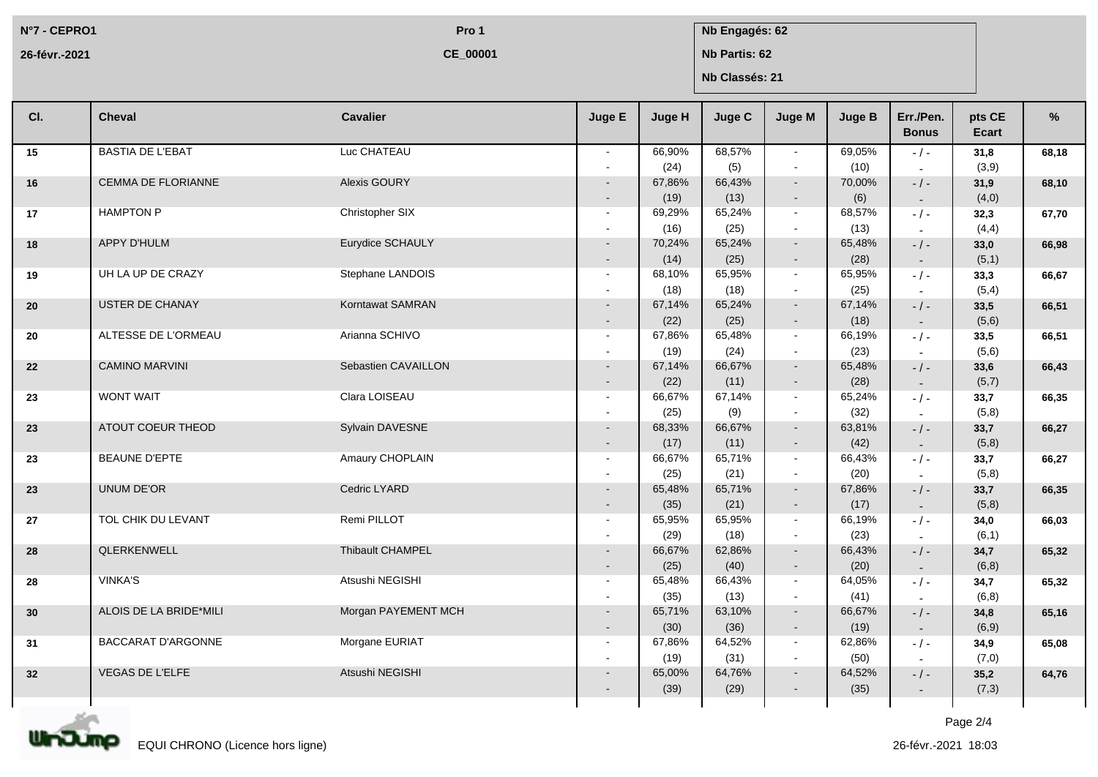**N°7 - CEPRO1 26-févr.-2021**

**CE\_00001**

## **Pro 1 Nb Engagés: 62**

**Nb Partis: 62**

**Nb Classés: 21**

| CI. | <b>Cheval</b>             | <b>Cavalier</b>     | Juge E                             | Juge H         | Juge C         | Juge M                   | <b>Juge B</b>  | Err./Pen.<br><b>Bonus</b>             | pts CE<br><b>Ecart</b> | %     |
|-----|---------------------------|---------------------|------------------------------------|----------------|----------------|--------------------------|----------------|---------------------------------------|------------------------|-------|
| 15  | <b>BASTIA DE L'EBAT</b>   | Luc CHATEAU         | $\sim$                             | 66,90%<br>(24) | 68,57%<br>(5)  | $\sim$<br>$\sim$         | 69,05%<br>(10) | $-/-$<br>$\overline{\phantom{a}}$     | 31,8<br>(3,9)          | 68,18 |
| 16  | <b>CEMMA DE FLORIANNE</b> | Alexis GOURY        | $\blacksquare$                     | 67,86%<br>(19) | 66,43%<br>(13) | $\sim$<br>$\blacksquare$ | 70,00%<br>(6)  | $-$ / $-$<br>$\sim$                   | 31,9<br>(4,0)          | 68,10 |
| 17  | <b>HAMPTON P</b>          | Christopher SIX     | $\sim$<br>$\overline{a}$           | 69,29%<br>(16) | 65,24%<br>(25) | $\sim$<br>$\sim$         | 68,57%<br>(13) | $-1 -$<br>$\overline{\phantom{a}}$    | 32,3<br>(4, 4)         | 67,70 |
| 18  | <b>APPY D'HULM</b>        | Eurydice SCHAULY    | $\sim$<br>$\sim$                   | 70,24%<br>(14) | 65,24%<br>(25) | $\sim$<br>$\sim$         | 65,48%<br>(28) | $-$ / $-$                             | 33,0<br>(5,1)          | 66,98 |
| 19  | UH LA UP DE CRAZY         | Stephane LANDOIS    | $\sim$                             | 68,10%         | 65,95%         | $\sim$                   | 65,95%         | $\sim$<br>$-$ / $-$                   | 33,3                   | 66,67 |
| 20  | <b>USTER DE CHANAY</b>    | Korntawat SAMRAN    | $\overline{\phantom{a}}$           | (18)<br>67,14% | (18)<br>65,24% | $\sim$<br>$\sim$         | (25)<br>67,14% | $\overline{\phantom{a}}$<br>$-$ / $-$ | (5,4)<br>33,5          | 66,51 |
| 20  | ALTESSE DE L'ORMEAU       | Arianna SCHIVO      | $\sim$<br>$\sim$                   | (22)<br>67,86% | (25)<br>65,48% | ۰<br>$\sim$              | (18)<br>66,19% | $\sim$<br>$-1-$                       | (5,6)<br>33,5          | 66,51 |
| 22  | <b>CAMINO MARVINI</b>     | Sebastien CAVAILLON | $\sim$<br>$\sim$                   | (19)<br>67,14% | (24)<br>66,67% | $\sim$<br>$\sim$         | (23)<br>65,48% | $-$ / $-$                             | (5,6)<br>33,6          | 66,43 |
| 23  | <b>WONT WAIT</b>          | Clara LOISEAU       | $\sim$<br>$\sim$                   | (22)<br>66,67% | (11)<br>67,14% | $\sim$<br>$\sim$         | (28)<br>65,24% | $\sim$<br>$-$ / $-$                   | (5,7)<br>33,7          | 66,35 |
| 23  | ATOUT COEUR THEOD         | Sylvain DAVESNE     | $\overline{\phantom{a}}$<br>$\sim$ | (25)<br>68,33% | (9)<br>66,67%  | $\sim$<br>$\sim$         | (32)<br>63,81% | $\overline{\phantom{a}}$<br>$-$ / $-$ | (5,8)<br>33,7          | 66,27 |
| 23  | <b>BEAUNE D'EPTE</b>      | Amaury CHOPLAIN     | $\overline{\phantom{a}}$<br>$\sim$ | (17)<br>66,67% | (11)<br>65,71% | $\blacksquare$<br>$\sim$ | (42)<br>66,43% | $\sim$<br>$-$ / $-$                   | (5,8)<br>33,7          | 66,27 |
| 23  | <b>UNUM DE'OR</b>         | Cedric LYARD        | $\overline{a}$<br>$\sim$           | (25)<br>65,48% | (21)<br>65,71% | $\sim$<br>$\sim$         | (20)<br>67,86% | $\sim$<br>$-$ / $-$                   | (5,8)<br>33,7          | 66,35 |
| 27  | TOL CHIK DU LEVANT        | Remi PILLOT         | $\sim$<br>$\sim$                   | (35)<br>65,95% | (21)<br>65,95% | $\sim$<br>$\sim$         | (17)<br>66,19% | $\sim$<br>$-$ / $-$                   | (5,8)<br>34,0          | 66,03 |
|     | QLERKENWELL               | Thibault CHAMPEL    | $\overline{\phantom{a}}$           | (29)           | (18)           | $\sim$<br>$\sim$         | (23)           | $\sim$                                | (6,1)                  |       |
| 28  |                           |                     |                                    | 66,67%<br>(25) | 62,86%<br>(40) | $\sim$                   | 66,43%<br>(20) | $-$ / $-$<br>$\sim$                   | 34,7<br>(6,8)          | 65,32 |
| 28  | <b>VINKA'S</b>            | Atsushi NEGISHI     | $\sim$<br>$\sim$                   | 65,48%<br>(35) | 66,43%<br>(13) | $\sim$<br>$\sim$         | 64,05%<br>(41) | $-1$ -                                | 34,7<br>(6, 8)         | 65,32 |
| 30  | ALOIS DE LA BRIDE*MILI    | Morgan PAYEMENT MCH | $\sim$<br>$\sim$                   | 65,71%<br>(30) | 63,10%<br>(36) | $\sim$<br>$\sim$         | 66,67%<br>(19) | $-$ / $-$<br>$\sim$                   | 34,8<br>(6, 9)         | 65,16 |
| 31  | <b>BACCARAT D'ARGONNE</b> | Morgane EURIAT      | $\sim$<br>$\overline{\phantom{a}}$ | 67,86%<br>(19) | 64,52%<br>(31) | $\sim$<br>$\sim$         | 62,86%<br>(50) | $-$ / $-$<br>$\sim$                   | 34,9<br>(7,0)          | 65,08 |
| 32  | VEGAS DE L'ELFE           | Atsushi NEGISHI     |                                    | 65,00%<br>(39) | 64,76%<br>(29) | $\sim$                   | 64,52%<br>(35) | $-$ / $-$<br>$\sim$                   | 35,2<br>(7,3)          | 64,76 |
|     |                           |                     |                                    |                |                |                          |                |                                       |                        |       |

Page 2/4

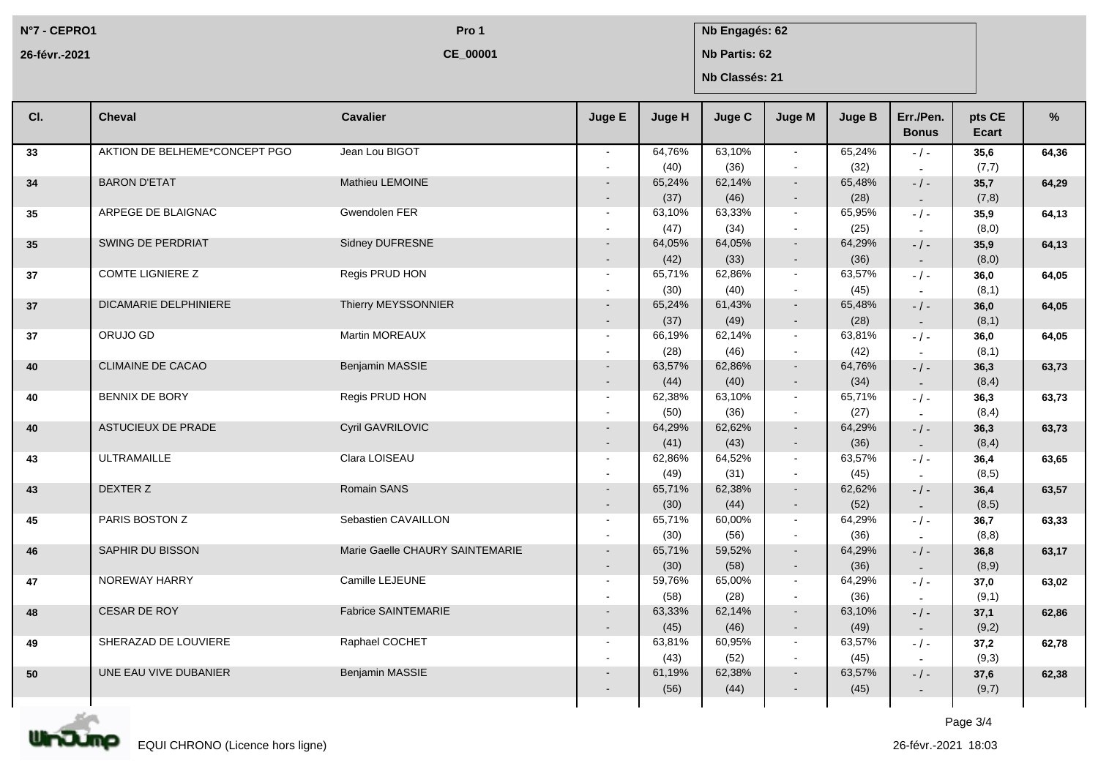**N°7 - CEPRO1 26-févr.-2021**

**CE\_00001**

## **Pro 1 Nb Engagés: 62**

**Nb Partis: 62**

**Nb Classés: 21**

| CI. | <b>Cheval</b>                 | <b>Cavalier</b>                 | Juge E           | Juge H         | <b>Juge C</b>  | <b>Juge M</b>    | <b>Juge B</b>  | Err./Pen.<br><b>Bonus</b> | pts CE<br>Ecart | %     |
|-----|-------------------------------|---------------------------------|------------------|----------------|----------------|------------------|----------------|---------------------------|-----------------|-------|
| 33  | AKTION DE BELHEME*CONCEPT PGO | Jean Lou BIGOT                  |                  | 64,76%<br>(40) | 63,10%<br>(36) | $\sim$<br>$\sim$ | 65,24%<br>(32) | $-$ / $-$                 | 35,6<br>(7,7)   | 64.36 |
| 34  | <b>BARON D'ETAT</b>           | Mathieu LEMOINE                 |                  | 65,24%         | 62,14%         | $\sim$           | 65,48%         | $-$ / $-$                 | 35,7            | 64,29 |
|     |                               |                                 | $\sim$           | (37)           | (46)           | $\sim$           | (28)           | $\sim$                    | (7,8)           |       |
| 35  | ARPEGE DE BLAIGNAC            | Gwendolen FER                   | $\sim$           | 63,10%<br>(47) | 63,33%<br>(34) | $\sim$<br>$\sim$ | 65,95%<br>(25) | $-1 -$                    | 35,9<br>(8,0)   | 64,13 |
| 35  | SWING DE PERDRIAT             | Sidney DUFRESNE                 | $\sim$           | 64,05%         | 64,05%         | $\sim$           | 64,29%         | $-/-$                     | 35,9            | 64,13 |
|     |                               |                                 | $\sim$           | (42)           | (33)           | $\sim$           | (36)           | $\sim$                    | (8,0)           |       |
| 37  | <b>COMTE LIGNIERE Z</b>       | Regis PRUD HON                  | $\sim$           | 65,71%         | 62,86%         | $\sim$           | 63,57%         | $-$ / $-$                 | 36,0            | 64,05 |
|     |                               |                                 |                  | (30)           | (40)           | $\sim$           | (45)           |                           | (8,1)           |       |
| 37  | <b>DICAMARIE DELPHINIERE</b>  | Thierry MEYSSONNIER             |                  | 65,24%         | 61,43%         | $\sim$           | 65,48%         | $-$ / $-$                 | 36,0            | 64,05 |
|     |                               |                                 | $\sim$           | (37)           | (49)           | $\blacksquare$   | (28)           | $\sim$                    | (8,1)           |       |
| 37  | ORUJO GD                      | Martin MOREAUX                  | $\sim$           | 66,19%         | 62,14%         | $\sim$           | 63,81%         | $-1$ -                    | 36,0            | 64,05 |
|     |                               |                                 |                  | (28)           | (46)           | $\sim$           | (42)           |                           | (8,1)           |       |
| 40  | <b>CLIMAINE DE CACAO</b>      | Benjamin MASSIE                 |                  | 63,57%         | 62,86%         | $\sim$           | 64,76%         | $-/-$                     | 36,3            | 63,73 |
|     |                               |                                 | $\sim$           | (44)           | (40)           | $\sim$           | (34)           | $\sim$                    | (8, 4)          |       |
| 40  | <b>BENNIX DE BORY</b>         | Regis PRUD HON                  | $\sim$           | 62,38%         | 63,10%         | $\sim$           | 65,71%         | $-$ / $-$                 | 36,3            | 63,73 |
|     |                               |                                 |                  | (50)           | (36)           | $\sim$           | (27)           |                           | (8,4)           |       |
| 40  | <b>ASTUCIEUX DE PRADE</b>     | Cyril GAVRILOVIC                |                  | 64,29%         | 62,62%         | $\sim$           | 64,29%         | $-$ / $-$                 | 36,3            | 63,73 |
|     | <b>ULTRAMAILLE</b>            | Clara LOISEAU                   | $\sim$<br>$\sim$ | (41)<br>62,86% | (43)<br>64,52% | $\sim$<br>$\sim$ | (36)<br>63,57% | $\sim$                    | (8,4)           |       |
| 43  |                               |                                 |                  | (49)           | (31)           | $\sim$           | (45)           | $-1$ -<br>$\sim$          | 36,4<br>(8, 5)  | 63,65 |
| 43  | DEXTER Z                      | Romain SANS                     | $\sim$           | 65,71%         | 62,38%         | $\sim$           | 62,62%         | $-$ / $-$                 | 36,4            | 63,57 |
|     |                               |                                 | $\sim$           | (30)           | (44)           | $\sim$           | (52)           | $\sim$                    | (8,5)           |       |
| 45  | PARIS BOSTON Z                | Sebastien CAVAILLON             | $\sim$           | 65,71%         | 60,00%         | $\sim$           | 64,29%         | $-/-$                     | 36,7            | 63,33 |
|     |                               |                                 |                  | (30)           | (56)           | $\blacksquare$   | (36)           | $\sim$                    | (8, 8)          |       |
| 46  | SAPHIR DU BISSON              | Marie Gaelle CHAURY SAINTEMARIE |                  | 65,71%         | 59,52%         | $\sim$           | 64,29%         | $-$ / $-$                 | 36,8            | 63,17 |
|     |                               |                                 | $\sim$           | (30)           | (58)           | $\sim$           | (36)           | $\sim$                    | (8,9)           |       |
| 47  | NOREWAY HARRY                 | Camille LEJEUNE                 | $\sim$           | 59,76%         | 65,00%         | $\sim$           | 64,29%         | $-1-$                     | 37,0            | 63,02 |
|     |                               |                                 |                  | (58)           | (28)           | $\sim$           | (36)           | $\sim$                    | (9,1)           |       |
| 48  | CESAR DE ROY                  | Fabrice SAINTEMARIE             | $\sim$           | 63,33%         | 62,14%         | $\sim$           | 63,10%         | $-$ / $-$                 | 37,1            | 62,86 |
|     |                               |                                 | $\sim$           | (45)           | (46)           | $\sim$           | (49)           | $\sim$                    | (9,2)           |       |
| 49  | SHERAZAD DE LOUVIERE          | Raphael COCHET                  | $\sim$           | 63,81%<br>(43) | 60,95%<br>(52) | $\sim$<br>$\sim$ | 63,57%         | $-/-$                     | 37,2            | 62,78 |
| 50  | UNE EAU VIVE DUBANIER         | Benjamin MASSIE                 | $\sim$           | 61,19%         | 62,38%         | $\sim$           | (45)<br>63,57% |                           | (9,3)<br>37,6   |       |
|     |                               |                                 | $\sim$           | (56)           | (44)           | $\sim$           | (45)           | $-$ / $-$<br>$\sim$       | (9,7)           | 62,38 |
|     |                               |                                 |                  |                |                |                  |                |                           |                 |       |

Page 3/4